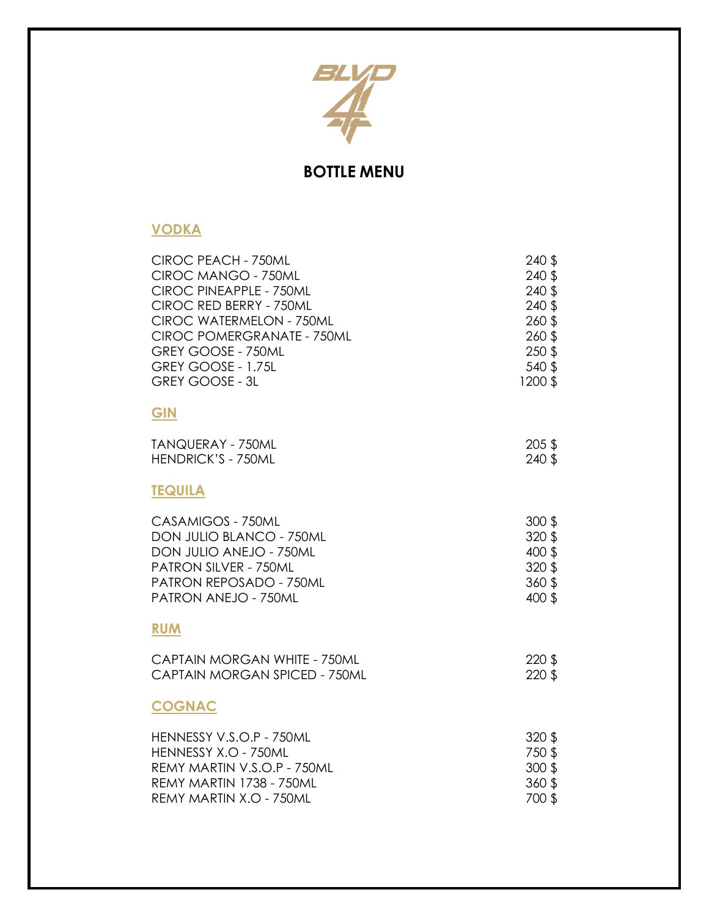

# **BOTTLE MENU**

## **VODKA**

| CIROC PEACH - 750ML           | 240 \$ |
|-------------------------------|--------|
| CIROC MANGO - 750ML           | 240 \$ |
| CIROC PINEAPPLE - 750ML       | 240 \$ |
| CIROC RED BERRY - 750ML       | 240 \$ |
| CIROC WATERMELON - 750ML      | 260 \$ |
| CIROC POMERGRANATE - 750ML    | 260\$  |
| GREY GOOSE - 750ML            | 250 \$ |
| GREY GOOSE - 1.75L            | 540 \$ |
| <b>GREY GOOSE - 3L</b>        | 1200\$ |
| GIN                           |        |
| TANQUERAY - 750ML             | 205 \$ |
| <b>HENDRICK'S - 750ML</b>     | 240 \$ |
| <b>TEQUILA</b>                |        |
| CASAMIGOS - 750ML             | 300 \$ |
| DON JULIO BLANCO - 750ML      | 320 \$ |
| DON JULIO ANEJO - 750ML       | 400 \$ |
| PATRON SILVER - 750ML         | 320 \$ |
| PATRON REPOSADO - 750ML       | 360\$  |
| PATRON ANEJO - 750ML          | 400 \$ |
| <b>RUM</b>                    |        |
| CAPTAIN MORGAN WHITE - 750ML  | 220 \$ |
| CAPTAIN MORGAN SPICED - 750ML | 220\$  |
| <b>COGNAC</b>                 |        |
| HENNESSY V.S.O.P - 750ML      | 320 \$ |
| HENNESSY X.O - 750ML          | 750\$  |
| REMY MARTIN V.S.O.P - 750ML   | 300 \$ |
| REMY MARTIN 1738 - 750ML      | 360\$  |
| REMY MARTIN X.O - 750ML       | 700 \$ |